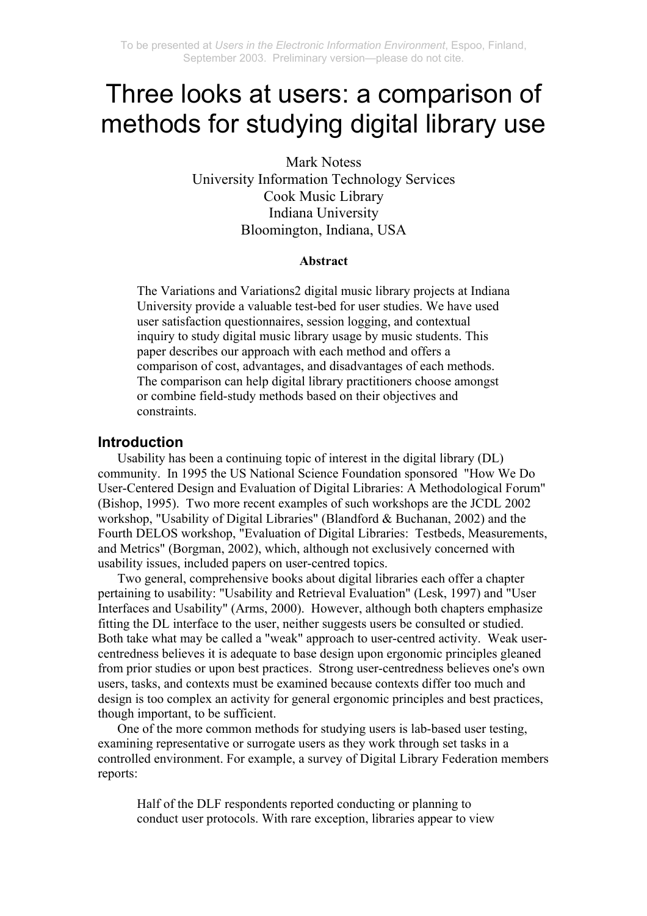# Three looks at users: a comparison of methods for studying digital library use

[Mark Notess](mailto:mnotess@indiana.edu) University Information Technology Services Cook Music Library Indiana University Bloomington, Indiana, USA

#### **Abstract**

The Variations and Variations2 digital music library projects at Indiana University provide a valuable test-bed for user studies. We have used user satisfaction questionnaires, session logging, and contextual inquiry to study digital music library usage by music students. This paper describes our approach with each method and offers a comparison of cost, advantages, and disadvantages of each methods. The comparison can help digital library practitioners choose amongst or combine field-study methods based on their objectives and constraints.

#### **Introduction**

Usability has been a continuing topic of interest in the digital library (DL) community. In 1995 the US National Science Foundation sponsored "How We Do User-Centered Design and Evaluation of Digital Libraries: A Methodological Forum" (Bishop, 1995). Two more recent examples of such workshops are the JCDL 2002 workshop, "Usability of Digital Libraries" (Blandford & Buchanan, 2002) and the Fourth DELOS workshop, "Evaluation of Digital Libraries: Testbeds, Measurements, and Metrics" (Borgman, 2002), which, although not exclusively concerned with usability issues, included papers on user-centred topics.

Two general, comprehensive books about digital libraries each offer a chapter pertaining to usability: "Usability and Retrieval Evaluation" (Lesk, 1997) and "User Interfaces and Usability" (Arms, 2000). However, although both chapters emphasize fitting the DL interface to the user, neither suggests users be consulted or studied. Both take what may be called a "weak" approach to user-centred activity. Weak usercentredness believes it is adequate to base design upon ergonomic principles gleaned from prior studies or upon best practices. Strong user-centredness believes one's own users, tasks, and contexts must be examined because contexts differ too much and design is too complex an activity for general ergonomic principles and best practices, though important, to be sufficient.

One of the more common methods for studying users is lab-based user testing, examining representative or surrogate users as they work through set tasks in a controlled environment. For example, a survey of Digital Library Federation members reports:

Half of the DLF respondents reported conducting or planning to conduct user protocols. With rare exception, libraries appear to view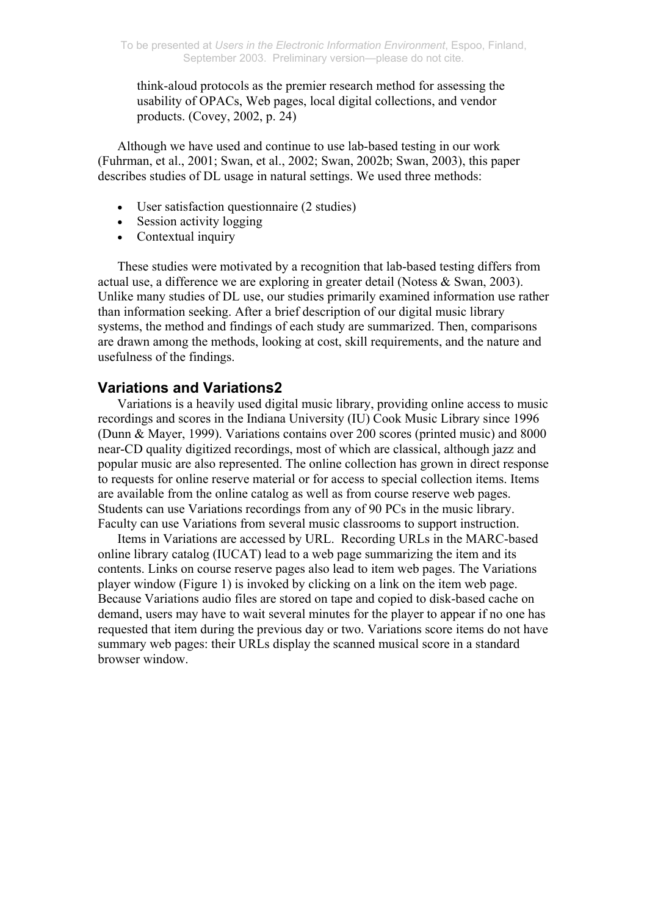think-aloud protocols as the premier research method for assessing the usability of OPACs, Web pages, local digital collections, and vendor products. (Covey, 2002, p. 24)

Although we have used and continue to use lab-based testing in our work (Fuhrman, et al., 2001; Swan, et al., 2002; Swan, 2002b; Swan, 2003), this paper describes studies of DL usage in natural settings. We used three methods:

- User satisfaction questionnaire (2 studies)
- Session activity logging
- Contextual inquiry

These studies were motivated by a recognition that lab-based testing differs from actual use, a difference we are exploring in greater detail (Notess & Swan, 2003). Unlike many studies of DL use, our studies primarily examined information use rather than information seeking. After a brief description of our digital music library systems, the method and findings of each study are summarized. Then, comparisons are drawn among the methods, looking at cost, skill requirements, and the nature and usefulness of the findings.

## **Variations and Variations2**

Variations is a heavily used digital music library, providing online access to music recordings and scores in the Indiana University (IU) Cook Music Library since 1996 (Dunn & Mayer, 1999). Variations contains over 200 scores (printed music) and 8000 near-CD quality digitized recordings, most of which are classical, although jazz and popular music are also represented. The online collection has grown in direct response to requests for online reserve material or for access to special collection items. Items are available from the online catalog as well as from course reserve web pages. Students can use Variations recordings from any of 90 PCs in the music library. Faculty can use Variations from several music classrooms to support instruction.

Items in Variations are accessed by URL. Recording URLs in the MARC-based online library catalog (IUCAT) lead to a web page summarizing the item and its contents. Links on course reserve pages also lead to item web pages. The Variations player window (Figure 1) is invoked by clicking on a link on the item web page. Because Variations audio files are stored on tape and copied to disk-based cache on demand, users may have to wait several minutes for the player to appear if no one has requested that item during the previous day or two. Variations score items do not have summary web pages: their URLs display the scanned musical score in a standard browser window.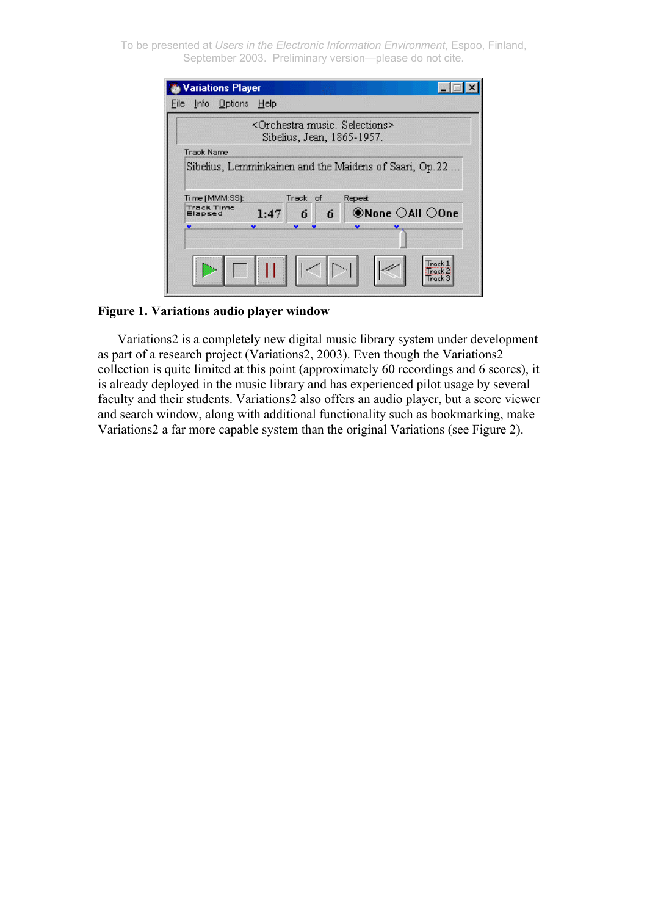To be presented at *Users in the Electronic Information Environment*, Espoo, Finland, September 2003. Preliminary version—please do not cite.

| Variations Player            |      |          |                |                                                                                |       |
|------------------------------|------|----------|----------------|--------------------------------------------------------------------------------|-------|
| Info Options<br>File         | Help |          |                |                                                                                |       |
|                              |      |          |                | <orchestra music.="" selections=""><br/>Sibelius, Jean, 1865-1957.</orchestra> |       |
| <b>Track Name</b>            |      |          |                |                                                                                |       |
|                              |      |          |                | Sibelius, Lemminkainen and the Maidens of Saari, Op. 22                        |       |
| Time (MMM:SS):               |      | Track of |                | Repeat                                                                         |       |
| <b>Track Time</b><br>Elapsed | 1:47 | 6        | 6 <sup>1</sup> | $\bullet$ None $\circ$ All $\circ$ One                                         |       |
|                              |      |          |                |                                                                                | Track |

**Figure 1. Variations audio player window** 

Variations2 is a completely new digital music library system under development as part of a research project (Variations2, 2003). Even though the Variations2 collection is quite limited at this point (approximately 60 recordings and 6 scores), it is already deployed in the music library and has experienced pilot usage by several faculty and their students. Variations2 also offers an audio player, but a score viewer and search window, along with additional functionality such as bookmarking, make Variations2 a far more capable system than the original Variations (see Figure 2).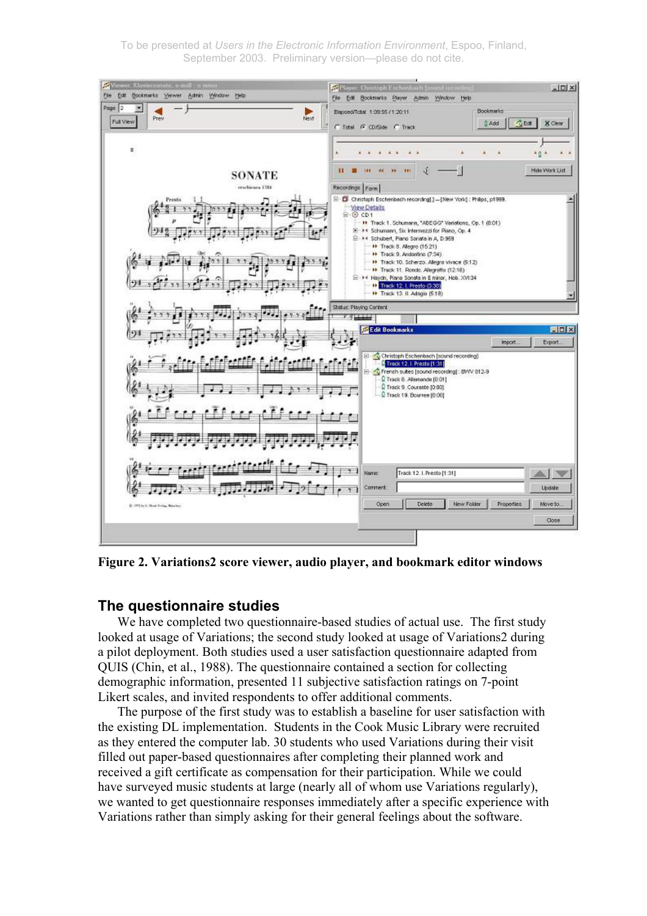To be presented at *Users in the Electronic Information Environment*, Espoo, Finland, September 2003. Preliminary version—please do not cite.



**Figure 2. Variations2 score viewer, audio player, and bookmark editor windows**

#### **The questionnaire studies**

We have completed two questionnaire-based studies of actual use. The first study looked at usage of Variations; the second study looked at usage of Variations2 during a pilot deployment. Both studies used a user satisfaction questionnaire adapted from QUIS (Chin, et al., 1988). The questionnaire contained a section for collecting demographic information, presented 11 subjective satisfaction ratings on 7-point Likert scales, and invited respondents to offer additional comments.

The purpose of the first study was to establish a baseline for user satisfaction with the existing DL implementation. Students in the Cook Music Library were recruited as they entered the computer lab. 30 students who used Variations during their visit filled out paper-based questionnaires after completing their planned work and received a gift certificate as compensation for their participation. While we could have surveyed music students at large (nearly all of whom use Variations regularly), we wanted to get questionnaire responses immediately after a specific experience with Variations rather than simply asking for their general feelings about the software.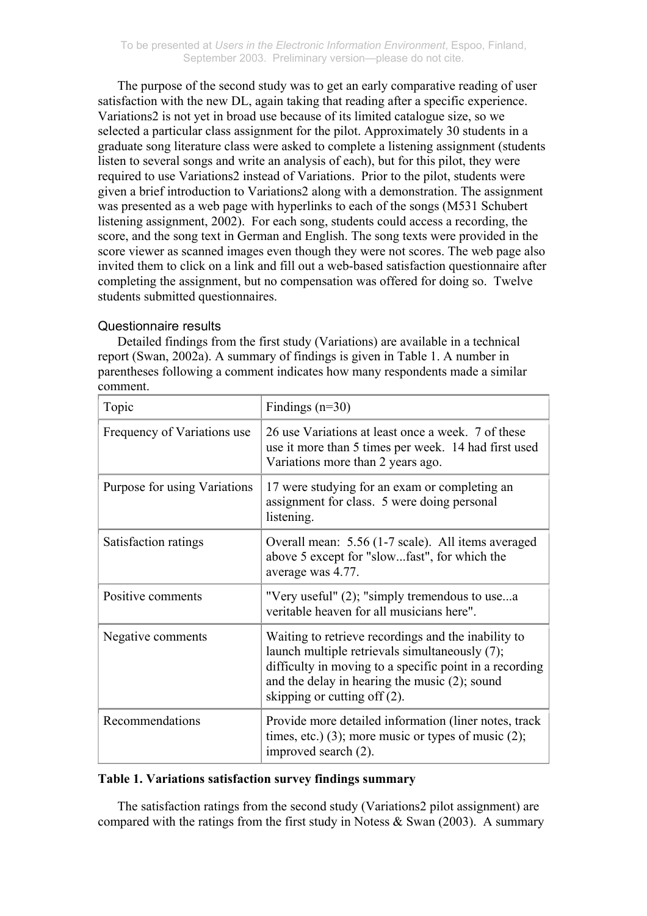The purpose of the second study was to get an early comparative reading of user satisfaction with the new DL, again taking that reading after a specific experience. Variations2 is not yet in broad use because of its limited catalogue size, so we selected a particular class assignment for the pilot. Approximately 30 students in a graduate song literature class were asked to complete a listening assignment (students listen to several songs and write an analysis of each), but for this pilot, they were required to use Variations2 instead of Variations. Prior to the pilot, students were given a brief introduction to Variations2 along with a demonstration. The assignment was presented as a web page with hyperlinks to each of the songs (M531 Schubert listening assignment, 2002). For each song, students could access a recording, the score, and the song text in German and English. The song texts were provided in the score viewer as scanned images even though they were not scores. The web page also invited them to click on a link and fill out a web-based satisfaction questionnaire after completing the assignment, but no compensation was offered for doing so. Twelve students submitted questionnaires.

### Questionnaire results

Detailed findings from the first study (Variations) are available in a technical report (Swan, 2002a). A summary of findings is given in Table 1. A number in parentheses following a comment indicates how many respondents made a similar comment.

| Topic                        | Findings $(n=30)$                                                                                                                                                                                                                                   |
|------------------------------|-----------------------------------------------------------------------------------------------------------------------------------------------------------------------------------------------------------------------------------------------------|
| Frequency of Variations use  | 26 use Variations at least once a week. 7 of these<br>use it more than 5 times per week. 14 had first used<br>Variations more than 2 years ago.                                                                                                     |
| Purpose for using Variations | 17 were studying for an exam or completing an<br>assignment for class. 5 were doing personal<br>listening.                                                                                                                                          |
| Satisfaction ratings         | Overall mean: 5.56 (1-7 scale). All items averaged<br>above 5 except for "slowfast", for which the<br>average was 4.77.                                                                                                                             |
| Positive comments            | "Very useful" $(2)$ ; "simply tremendous to usea"<br>veritable heaven for all musicians here".                                                                                                                                                      |
| Negative comments            | Waiting to retrieve recordings and the inability to<br>launch multiple retrievals simultaneously (7);<br>difficulty in moving to a specific point in a recording<br>and the delay in hearing the music (2); sound<br>skipping or cutting of $(2)$ . |
| Recommendations              | Provide more detailed information (liner notes, track<br>times, etc.) (3); more music or types of music $(2)$ ;<br>improved search (2).                                                                                                             |

#### **Table 1. Variations satisfaction survey findings summary**

The satisfaction ratings from the second study (Variations2 pilot assignment) are compared with the ratings from the first study in Notess  $\&$  Swan (2003). A summary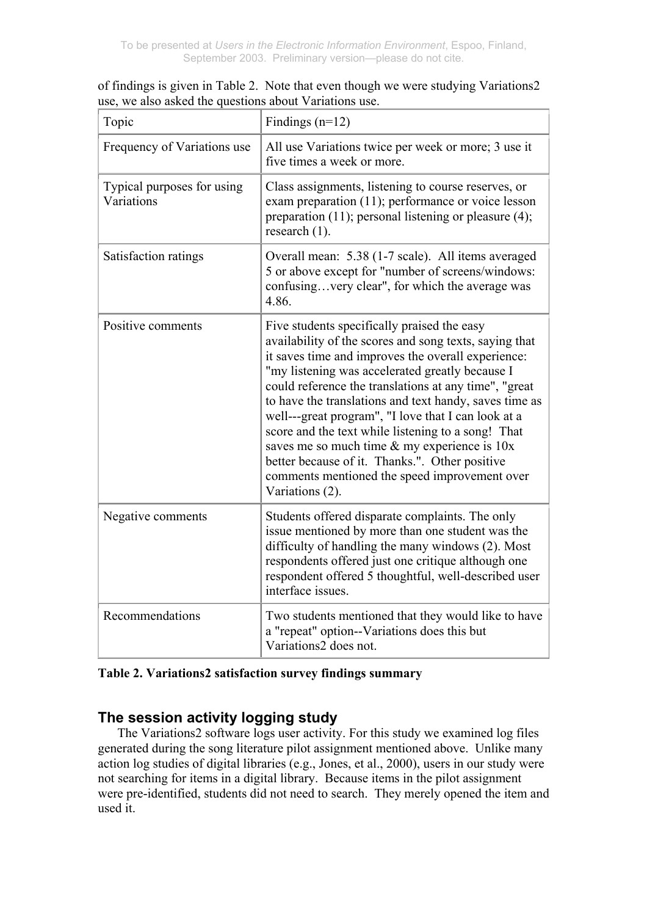| Topic                                    | Findings $(n=12)$                                                                                                                                                                                                                                                                                                                                                                                                                                                                                                                                                                                                         |
|------------------------------------------|---------------------------------------------------------------------------------------------------------------------------------------------------------------------------------------------------------------------------------------------------------------------------------------------------------------------------------------------------------------------------------------------------------------------------------------------------------------------------------------------------------------------------------------------------------------------------------------------------------------------------|
| Frequency of Variations use              | All use Variations twice per week or more; 3 use it<br>five times a week or more.                                                                                                                                                                                                                                                                                                                                                                                                                                                                                                                                         |
| Typical purposes for using<br>Variations | Class assignments, listening to course reserves, or<br>exam preparation (11); performance or voice lesson<br>preparation $(11)$ ; personal listening or pleasure $(4)$ ;<br>research (1).                                                                                                                                                                                                                                                                                                                                                                                                                                 |
| Satisfaction ratings                     | Overall mean: 5.38 (1-7 scale). All items averaged<br>5 or above except for "number of screens/windows:<br>confusingvery clear", for which the average was<br>4.86.                                                                                                                                                                                                                                                                                                                                                                                                                                                       |
| Positive comments                        | Five students specifically praised the easy<br>availability of the scores and song texts, saying that<br>it saves time and improves the overall experience:<br>"my listening was accelerated greatly because I<br>could reference the translations at any time", "great<br>to have the translations and text handy, saves time as<br>well---great program", "I love that I can look at a<br>score and the text while listening to a song! That<br>saves me so much time $\&$ my experience is $10x$<br>better because of it. Thanks.". Other positive<br>comments mentioned the speed improvement over<br>Variations (2). |
| Negative comments                        | Students offered disparate complaints. The only<br>issue mentioned by more than one student was the<br>difficulty of handling the many windows (2). Most<br>respondents offered just one critique although one<br>respondent offered 5 thoughtful, well-described user<br>interface issues.                                                                                                                                                                                                                                                                                                                               |
| Recommendations                          | Two students mentioned that they would like to have<br>a "repeat" option--Variations does this but<br>Variations2 does not.                                                                                                                                                                                                                                                                                                                                                                                                                                                                                               |

of findings is given in Table 2. Note that even though we were studying Variations2 use, we also asked the questions about Variations use.

### **Table 2. Variations2 satisfaction survey findings summary**

# **The session activity logging study**

The Variations2 software logs user activity. For this study we examined log files generated during the song literature pilot assignment mentioned above. Unlike many action log studies of digital libraries (e.g., Jones, et al., 2000), users in our study were not searching for items in a digital library. Because items in the pilot assignment were pre-identified, students did not need to search. They merely opened the item and used it.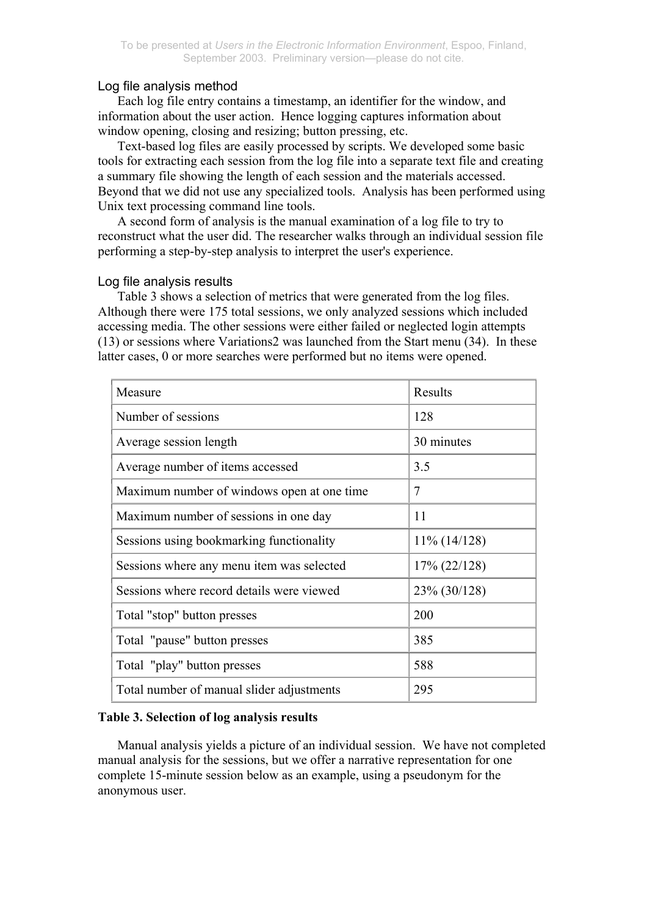#### Log file analysis method

Each log file entry contains a timestamp, an identifier for the window, and information about the user action. Hence logging captures information about window opening, closing and resizing; button pressing, etc.

Text-based log files are easily processed by scripts. We developed some basic tools for extracting each session from the log file into a separate text file and creating a summary file showing the length of each session and the materials accessed. Beyond that we did not use any specialized tools. Analysis has been performed using Unix text processing command line tools.

A second form of analysis is the manual examination of a log file to try to reconstruct what the user did. The researcher walks through an individual session file performing a step-by-step analysis to interpret the user's experience.

### Log file analysis results

Table 3 shows a selection of metrics that were generated from the log files. Although there were 175 total sessions, we only analyzed sessions which included accessing media. The other sessions were either failed or neglected login attempts (13) or sessions where Variations2 was launched from the Start menu (34). In these latter cases, 0 or more searches were performed but no items were opened.

| Measure                                    | Results         |
|--------------------------------------------|-----------------|
| Number of sessions                         | 128             |
| Average session length                     | 30 minutes      |
| Average number of items accessed           | 3.5             |
| Maximum number of windows open at one time | 7               |
| Maximum number of sessions in one day      | 11              |
| Sessions using bookmarking functionality   | $11\% (14/128)$ |
| Sessions where any menu item was selected  | $17\% (22/128)$ |
| Sessions where record details were viewed  | 23% (30/128)    |
| Total "stop" button presses                | 200             |
| Total "pause" button presses               | 385             |
| Total "play" button presses                | 588             |
| Total number of manual slider adjustments  | 295             |

#### **Table 3. Selection of log analysis results**

Manual analysis yields a picture of an individual session. We have not completed manual analysis for the sessions, but we offer a narrative representation for one complete 15-minute session below as an example, using a pseudonym for the anonymous user.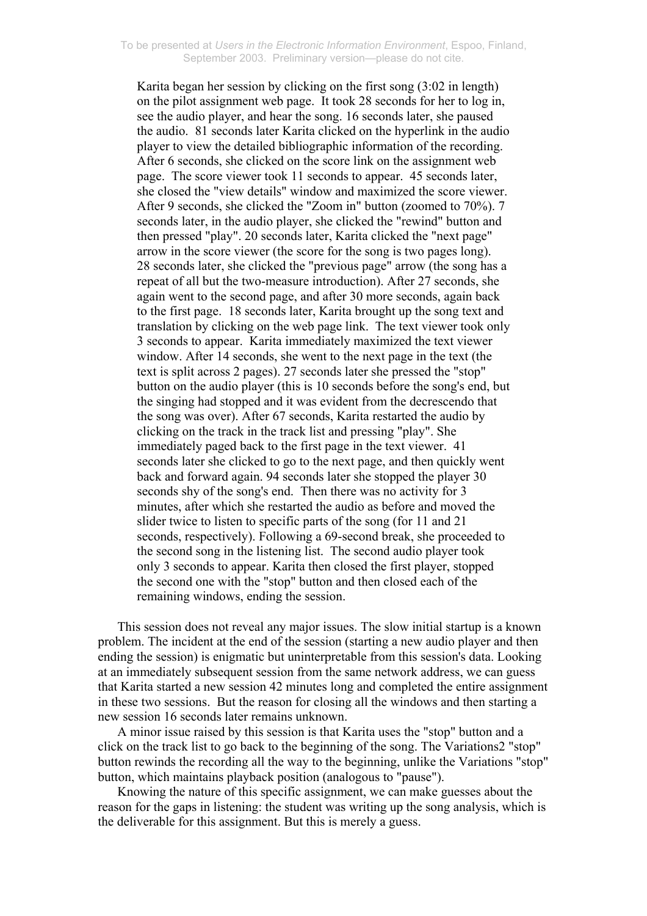Karita began her session by clicking on the first song (3:02 in length) on the pilot assignment web page. It took 28 seconds for her to log in, see the audio player, and hear the song. 16 seconds later, she paused the audio. 81 seconds later Karita clicked on the hyperlink in the audio player to view the detailed bibliographic information of the recording. After 6 seconds, she clicked on the score link on the assignment web page. The score viewer took 11 seconds to appear. 45 seconds later, she closed the "view details" window and maximized the score viewer. After 9 seconds, she clicked the "Zoom in" button (zoomed to 70%). 7 seconds later, in the audio player, she clicked the "rewind" button and then pressed "play". 20 seconds later, Karita clicked the "next page" arrow in the score viewer (the score for the song is two pages long). 28 seconds later, she clicked the "previous page" arrow (the song has a repeat of all but the two-measure introduction). After 27 seconds, she again went to the second page, and after 30 more seconds, again back to the first page. 18 seconds later, Karita brought up the song text and translation by clicking on the web page link. The text viewer took only 3 seconds to appear. Karita immediately maximized the text viewer window. After 14 seconds, she went to the next page in the text (the text is split across 2 pages). 27 seconds later she pressed the "stop" button on the audio player (this is 10 seconds before the song's end, but the singing had stopped and it was evident from the decrescendo that the song was over). After 67 seconds, Karita restarted the audio by clicking on the track in the track list and pressing "play". She immediately paged back to the first page in the text viewer. 41 seconds later she clicked to go to the next page, and then quickly went back and forward again. 94 seconds later she stopped the player 30 seconds shy of the song's end. Then there was no activity for 3 minutes, after which she restarted the audio as before and moved the slider twice to listen to specific parts of the song (for 11 and 21 seconds, respectively). Following a 69-second break, she proceeded to the second song in the listening list. The second audio player took only 3 seconds to appear. Karita then closed the first player, stopped the second one with the "stop" button and then closed each of the remaining windows, ending the session.

This session does not reveal any major issues. The slow initial startup is a known problem. The incident at the end of the session (starting a new audio player and then ending the session) is enigmatic but uninterpretable from this session's data. Looking at an immediately subsequent session from the same network address, we can guess that Karita started a new session 42 minutes long and completed the entire assignment in these two sessions. But the reason for closing all the windows and then starting a new session 16 seconds later remains unknown.

A minor issue raised by this session is that Karita uses the "stop" button and a click on the track list to go back to the beginning of the song. The Variations2 "stop" button rewinds the recording all the way to the beginning, unlike the Variations "stop" button, which maintains playback position (analogous to "pause").

Knowing the nature of this specific assignment, we can make guesses about the reason for the gaps in listening: the student was writing up the song analysis, which is the deliverable for this assignment. But this is merely a guess.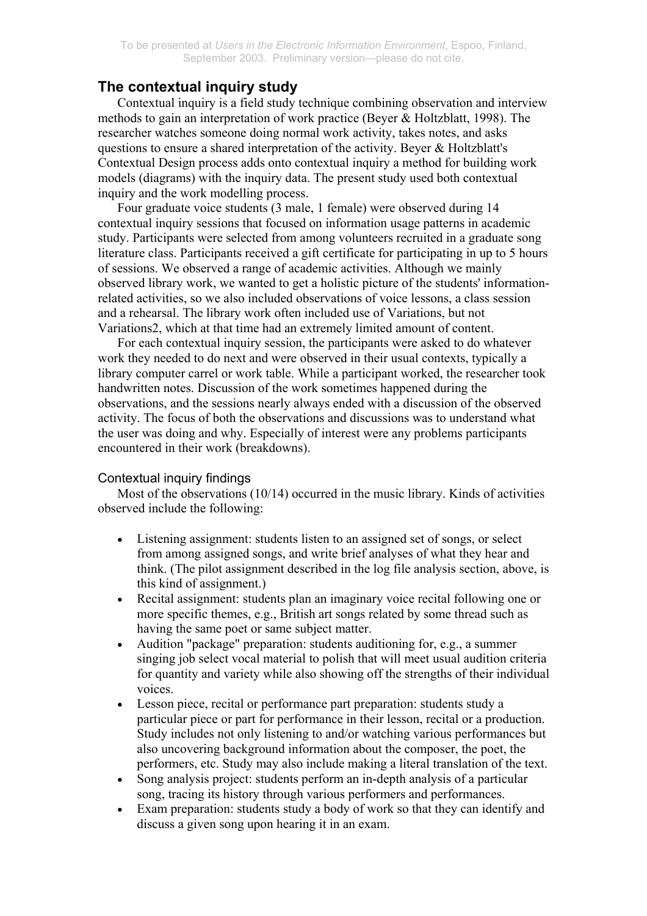## **The contextual inquiry study**

Contextual inquiry is a field study technique combining observation and interview methods to gain an interpretation of work practice (Beyer & Holtzblatt, 1998). The researcher watches someone doing normal work activity, takes notes, and asks questions to ensure a shared interpretation of the activity. Beyer & Holtzblatt's Contextual Design process adds onto contextual inquiry a method for building work models (diagrams) with the inquiry data. The present study used both contextual inquiry and the work modelling process.

Four graduate voice students (3 male, 1 female) were observed during 14 contextual inquiry sessions that focused on information usage patterns in academic study. Participants were selected from among volunteers recruited in a graduate song literature class. Participants received a gift certificate for participating in up to 5 hours of sessions. We observed a range of academic activities. Although we mainly observed library work, we wanted to get a holistic picture of the students' informationrelated activities, so we also included observations of voice lessons, a class session and a rehearsal. The library work often included use of Variations, but not Variations2, which at that time had an extremely limited amount of content.

For each contextual inquiry session, the participants were asked to do whatever work they needed to do next and were observed in their usual contexts, typically a library computer carrel or work table. While a participant worked, the researcher took handwritten notes. Discussion of the work sometimes happened during the observations, and the sessions nearly always ended with a discussion of the observed activity. The focus of both the observations and discussions was to understand what the user was doing and why. Especially of interest were any problems participants encountered in their work (breakdowns).

#### Contextual inquiry findings

Most of the observations (10/14) occurred in the music library. Kinds of activities observed include the following:

- Listening assignment: students listen to an assigned set of songs, or select from among assigned songs, and write brief analyses of what they hear and think. (The pilot assignment described in the log file analysis section, above, is this kind of assignment.)
- Recital assignment: students plan an imaginary voice recital following one or more specific themes, e.g., British art songs related by some thread such as having the same poet or same subject matter.
- Audition "package" preparation: students auditioning for, e.g., a summer singing job select vocal material to polish that will meet usual audition criteria for quantity and variety while also showing off the strengths of their individual voices.
- Lesson piece, recital or performance part preparation: students study a particular piece or part for performance in their lesson, recital or a production. Study includes not only listening to and/or watching various performances but also uncovering background information about the composer, the poet, the performers, etc. Study may also include making a literal translation of the text.
- Song analysis project: students perform an in-depth analysis of a particular song, tracing its history through various performers and performances.
- Exam preparation: students study a body of work so that they can identify and discuss a given song upon hearing it in an exam.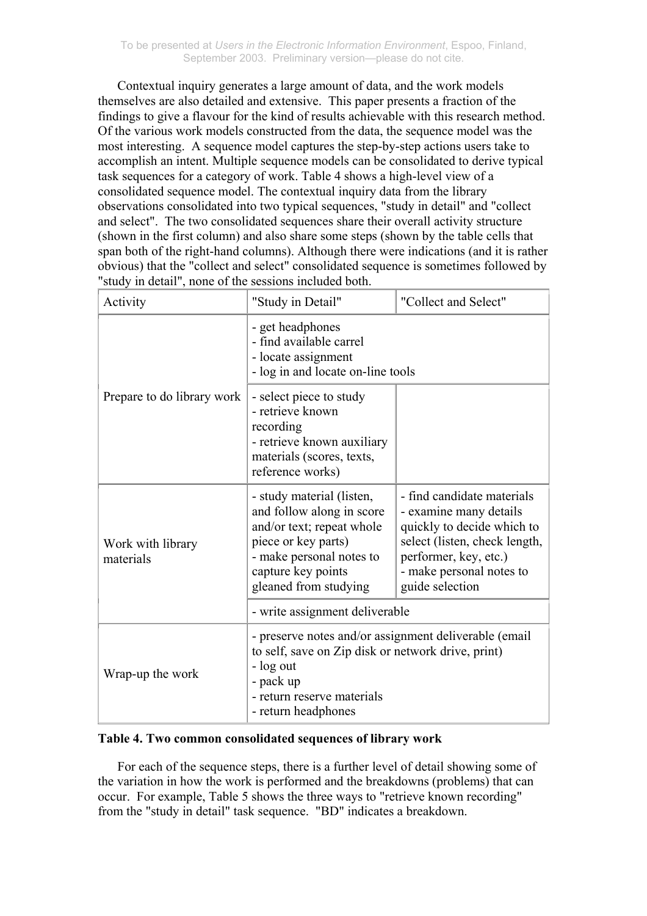Contextual inquiry generates a large amount of data, and the work models themselves are also detailed and extensive. This paper presents a fraction of the findings to give a flavour for the kind of results achievable with this research method. Of the various work models constructed from the data, the sequence model was the most interesting. A sequence model captures the step-by-step actions users take to accomplish an intent. Multiple sequence models can be consolidated to derive typical task sequences for a category of work. Table 4 shows a high-level view of a consolidated sequence model. The contextual inquiry data from the library observations consolidated into two typical sequences, "study in detail" and "collect and select". The two consolidated sequences share their overall activity structure (shown in the first column) and also share some steps (shown by the table cells that span both of the right-hand columns). Although there were indications (and it is rather obvious) that the "collect and select" consolidated sequence is sometimes followed by "study in detail", none of the sessions included both.

| Activity                       | "Study in Detail"                                                                                                                                                                          | "Collect and Select"                                                                                                                                                                        |  |
|--------------------------------|--------------------------------------------------------------------------------------------------------------------------------------------------------------------------------------------|---------------------------------------------------------------------------------------------------------------------------------------------------------------------------------------------|--|
|                                | - get headphones<br>- find available carrel<br>- locate assignment<br>- log in and locate on-line tools                                                                                    |                                                                                                                                                                                             |  |
| Prepare to do library work     | - select piece to study<br>- retrieve known<br>recording<br>- retrieve known auxiliary<br>materials (scores, texts,<br>reference works)                                                    |                                                                                                                                                                                             |  |
| Work with library<br>materials | - study material (listen,<br>and follow along in score<br>and/or text; repeat whole<br>piece or key parts)<br>- make personal notes to<br>capture key points<br>gleaned from studying      | - find candidate materials<br>- examine many details<br>quickly to decide which to<br>select (listen, check length,<br>performer, key, etc.)<br>- make personal notes to<br>guide selection |  |
|                                | - write assignment deliverable                                                                                                                                                             |                                                                                                                                                                                             |  |
| Wrap-up the work               | - preserve notes and/or assignment deliverable (email<br>to self, save on Zip disk or network drive, print)<br>- log out<br>- pack up<br>- return reserve materials<br>- return headphones |                                                                                                                                                                                             |  |

#### **Table 4. Two common consolidated sequences of library work**

For each of the sequence steps, there is a further level of detail showing some of the variation in how the work is performed and the breakdowns (problems) that can occur. For example, Table 5 shows the three ways to "retrieve known recording" from the "study in detail" task sequence. "BD" indicates a breakdown.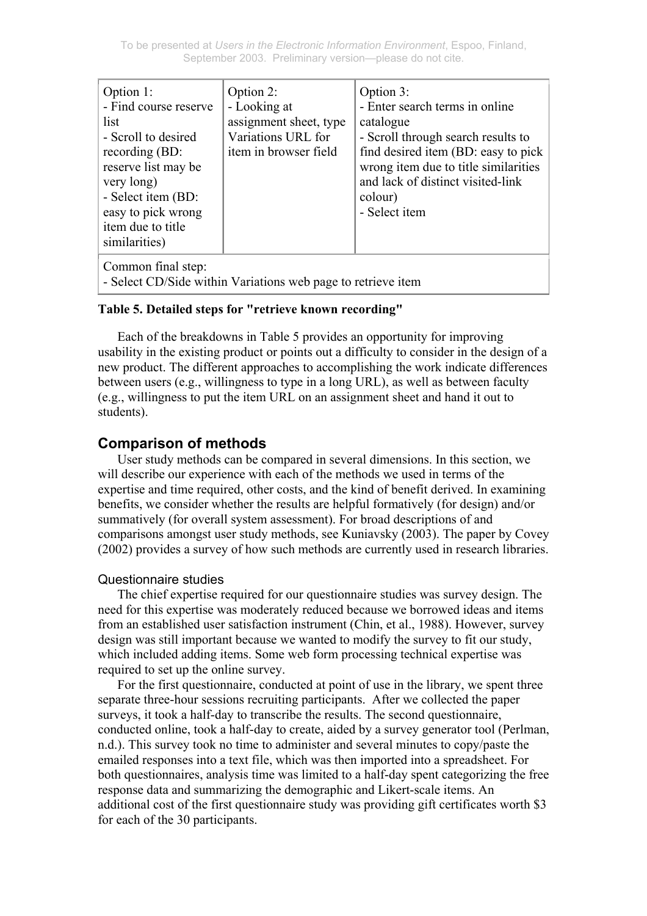To be presented at *Users in the Electronic Information Environment*, Espoo, Finland, September 2003. Preliminary version—please do not cite.

| Option 1:<br>- Find course reserve<br>list<br>- Scroll to desired<br>recording (BD:<br>reserve list may be<br>very long)<br>- Select item (BD:<br>easy to pick wrong<br>item due to title<br>similarities) | Option 2:<br>- Looking at<br>assignment sheet, type<br>Variations URL for<br>item in browser field | Option 3:<br>- Enter search terms in online<br>catalogue<br>- Scroll through search results to<br>find desired item (BD: easy to pick)<br>wrong item due to title similarities<br>and lack of distinct visited-link<br>colour)<br>- Select item |  |
|------------------------------------------------------------------------------------------------------------------------------------------------------------------------------------------------------------|----------------------------------------------------------------------------------------------------|-------------------------------------------------------------------------------------------------------------------------------------------------------------------------------------------------------------------------------------------------|--|
| Common final step:<br>- Select CD/Side within Variations web page to retrieve item                                                                                                                         |                                                                                                    |                                                                                                                                                                                                                                                 |  |

#### **Table 5. Detailed steps for "retrieve known recording"**

Each of the breakdowns in Table 5 provides an opportunity for improving usability in the existing product or points out a difficulty to consider in the design of a new product. The different approaches to accomplishing the work indicate differences between users (e.g., willingness to type in a long URL), as well as between faculty (e.g., willingness to put the item URL on an assignment sheet and hand it out to students).

#### **Comparison of methods**

User study methods can be compared in several dimensions. In this section, we will describe our experience with each of the methods we used in terms of the expertise and time required, other costs, and the kind of benefit derived. In examining benefits, we consider whether the results are helpful formatively (for design) and/or summatively (for overall system assessment). For broad descriptions of and comparisons amongst user study methods, see Kuniavsky (2003). The paper by Covey (2002) provides a survey of how such methods are currently used in research libraries.

#### Questionnaire studies

The chief expertise required for our questionnaire studies was survey design. The need for this expertise was moderately reduced because we borrowed ideas and items from an established user satisfaction instrument (Chin, et al., 1988). However, survey design was still important because we wanted to modify the survey to fit our study, which included adding items. Some web form processing technical expertise was required to set up the online survey.

For the first questionnaire, conducted at point of use in the library, we spent three separate three-hour sessions recruiting participants. After we collected the paper surveys, it took a half-day to transcribe the results. The second questionnaire, conducted online, took a half-day to create, aided by a survey generator tool (Perlman, n.d.). This survey took no time to administer and several minutes to copy/paste the emailed responses into a text file, which was then imported into a spreadsheet. For both questionnaires, analysis time was limited to a half-day spent categorizing the free response data and summarizing the demographic and Likert-scale items. An additional cost of the first questionnaire study was providing gift certificates worth \$3 for each of the 30 participants.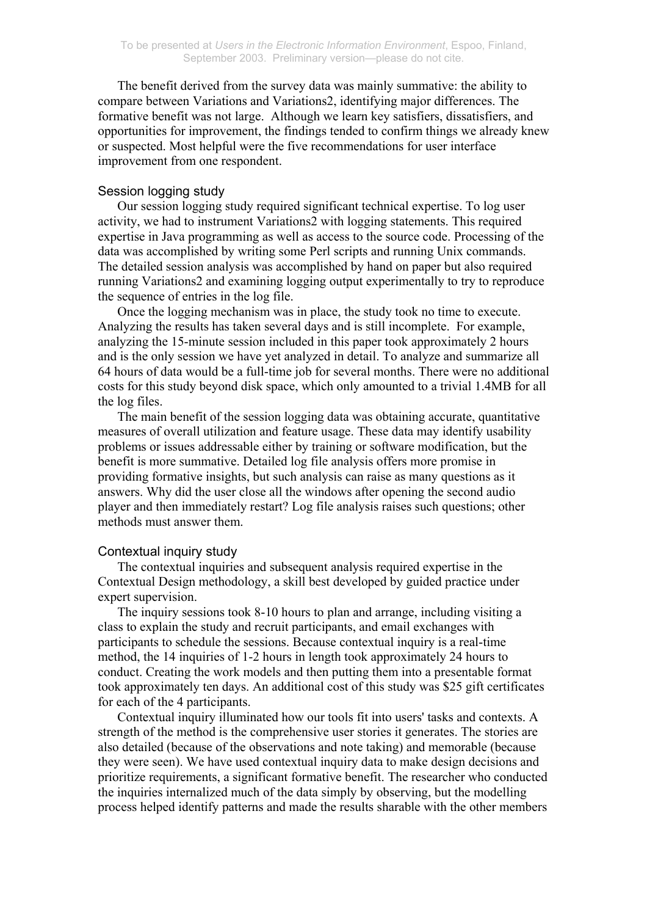The benefit derived from the survey data was mainly summative: the ability to compare between Variations and Variations2, identifying major differences. The formative benefit was not large. Although we learn key satisfiers, dissatisfiers, and opportunities for improvement, the findings tended to confirm things we already knew or suspected. Most helpful were the five recommendations for user interface improvement from one respondent.

#### Session logging study

Our session logging study required significant technical expertise. To log user activity, we had to instrument Variations2 with logging statements. This required expertise in Java programming as well as access to the source code. Processing of the data was accomplished by writing some Perl scripts and running Unix commands. The detailed session analysis was accomplished by hand on paper but also required running Variations2 and examining logging output experimentally to try to reproduce the sequence of entries in the log file.

Once the logging mechanism was in place, the study took no time to execute. Analyzing the results has taken several days and is still incomplete. For example, analyzing the 15-minute session included in this paper took approximately 2 hours and is the only session we have yet analyzed in detail. To analyze and summarize all 64 hours of data would be a full-time job for several months. There were no additional costs for this study beyond disk space, which only amounted to a trivial 1.4MB for all the log files.

The main benefit of the session logging data was obtaining accurate, quantitative measures of overall utilization and feature usage. These data may identify usability problems or issues addressable either by training or software modification, but the benefit is more summative. Detailed log file analysis offers more promise in providing formative insights, but such analysis can raise as many questions as it answers. Why did the user close all the windows after opening the second audio player and then immediately restart? Log file analysis raises such questions; other methods must answer them.

#### Contextual inquiry study

The contextual inquiries and subsequent analysis required expertise in the Contextual Design methodology, a skill best developed by guided practice under expert supervision.

The inquiry sessions took 8-10 hours to plan and arrange, including visiting a class to explain the study and recruit participants, and email exchanges with participants to schedule the sessions. Because contextual inquiry is a real-time method, the 14 inquiries of 1-2 hours in length took approximately 24 hours to conduct. Creating the work models and then putting them into a presentable format took approximately ten days. An additional cost of this study was \$25 gift certificates for each of the 4 participants.

Contextual inquiry illuminated how our tools fit into users' tasks and contexts. A strength of the method is the comprehensive user stories it generates. The stories are also detailed (because of the observations and note taking) and memorable (because they were seen). We have used contextual inquiry data to make design decisions and prioritize requirements, a significant formative benefit. The researcher who conducted the inquiries internalized much of the data simply by observing, but the modelling process helped identify patterns and made the results sharable with the other members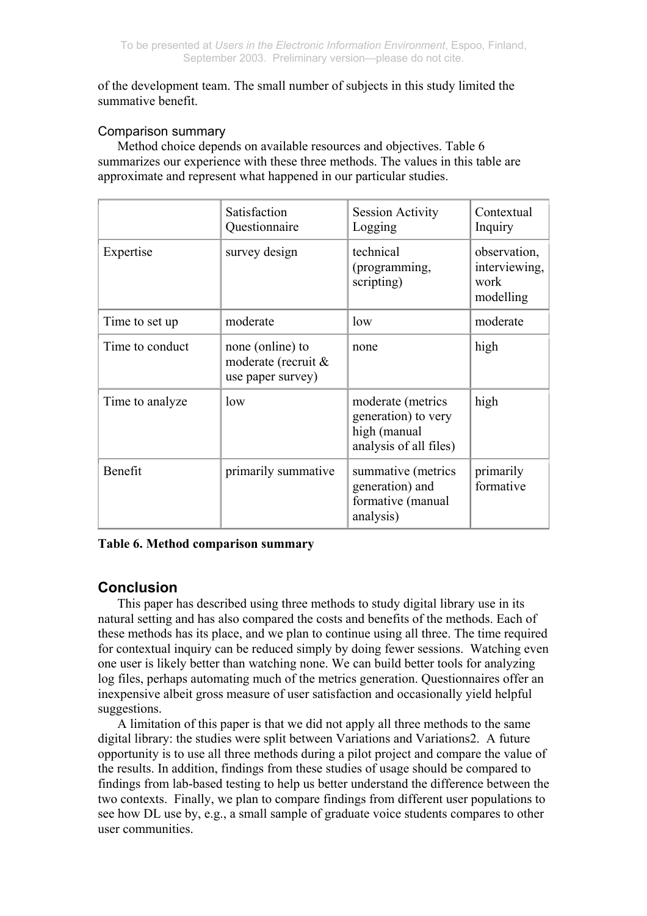of the development team. The small number of subjects in this study limited the summative benefit.

## Comparison summary

Method choice depends on available resources and objectives. Table 6 summarizes our experience with these three methods. The values in this table are approximate and represent what happened in our particular studies.

|                 | Satisfaction<br>Questionnaire                                   | <b>Session Activity</b><br>Logging                                                 | Contextual<br>Inquiry                              |
|-----------------|-----------------------------------------------------------------|------------------------------------------------------------------------------------|----------------------------------------------------|
| Expertise       | survey design                                                   | technical<br>(programming,<br>scripting)                                           | observation,<br>interviewing,<br>work<br>modelling |
| Time to set up  | moderate                                                        | low                                                                                | moderate                                           |
| Time to conduct | none (online) to<br>moderate (recruit $\&$<br>use paper survey) | none                                                                               | high                                               |
| Time to analyze | low                                                             | moderate (metrics<br>generation) to very<br>high (manual<br>analysis of all files) | high                                               |
| Benefit         | primarily summative                                             | summative (metrics<br>generation) and<br>formative (manual<br>analysis)            | primarily<br>formative                             |

#### **Table 6. Method comparison summary**

## **Conclusion**

This paper has described using three methods to study digital library use in its natural setting and has also compared the costs and benefits of the methods. Each of these methods has its place, and we plan to continue using all three. The time required for contextual inquiry can be reduced simply by doing fewer sessions. Watching even one user is likely better than watching none. We can build better tools for analyzing log files, perhaps automating much of the metrics generation. Questionnaires offer an inexpensive albeit gross measure of user satisfaction and occasionally yield helpful suggestions.

A limitation of this paper is that we did not apply all three methods to the same digital library: the studies were split between Variations and Variations2. A future opportunity is to use all three methods during a pilot project and compare the value of the results. In addition, findings from these studies of usage should be compared to findings from lab-based testing to help us better understand the difference between the two contexts. Finally, we plan to compare findings from different user populations to see how DL use by, e.g., a small sample of graduate voice students compares to other user communities.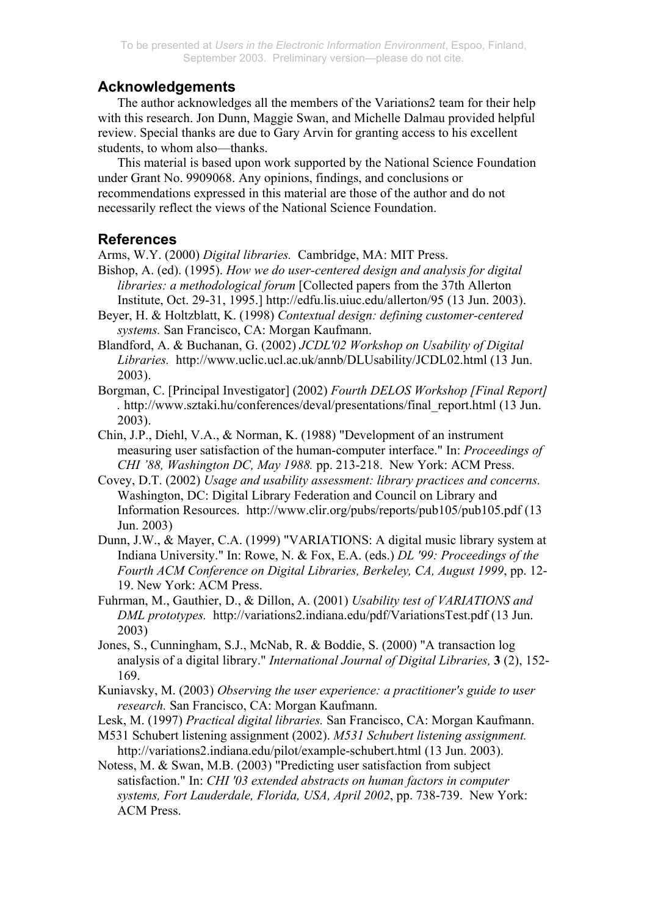# **Acknowledgements**

The author acknowledges all the members of the Variations2 team for their help with this research. Jon Dunn, Maggie Swan, and Michelle Dalmau provided helpful review. Special thanks are due to Gary Arvin for granting access to his excellent students, to whom also—thanks.

This material is based upon work supported by the National Science Foundation under Grant No. 9909068. Any opinions, findings, and conclusions or recommendations expressed in this material are those of the author and do not necessarily reflect the views of the National Science Foundation.

# **References**

Arms, W.Y. (2000) *Digital libraries.* Cambridge, MA: MIT Press.

- Bishop, A. (ed). (1995). *[How we do user-centered design and analysis for digital](http://www.lis.uiuc.edu/gslis/allerton/95/index.html)  [libraries: a methodological forum](http://www.lis.uiuc.edu/gslis/allerton/95/index.html)* [Collected papers from the 37th Allerton Institute, Oct. 29-31, 1995.] http://edfu.lis.uiuc.edu/allerton/95 (13 Jun. 2003).
- Beyer, H. & Holtzblatt, K. (1998) *Contextual design: defining customer-centered systems.* San Francisco, CA: Morgan Kaufmann.
- Blandford, A. & Buchanan, G. (2002) *[JCDL'02 Workshop on Usability of Digital](http://www.uclic.ucl.ac.uk/annb/DLUsability/JCDL02.html)  [Libraries.](http://www.uclic.ucl.ac.uk/annb/DLUsability/JCDL02.html)* http://www.uclic.ucl.ac.uk/annb/DLUsability/JCDL02.html (13 Jun. 2003).
- Borgman, C. [Principal Investigator] (2002) *[Fourth DELOS Workshop \[Final Report\]](http://www.sztaki.hu/conferences/deval/presentations/final_report.html) .* http://www.sztaki.hu/conferences/deval/presentations/final\_report.html (13 Jun. 2003).
- Chin, J.P., Diehl, V.A., & Norman, K. (1988) "Development of an instrument measuring user satisfaction of the human-computer interface." In: *Proceedings of CHI '88, Washington DC, May 1988.* pp. 213-218. New York: ACM Press.
- Covey, D.T. (2002) *[Usage and usability assessment: library practices and concerns.](http://www.clir.org/pubs/reports/pub105/pub105.pdf)* Washington, DC: Digital Library Federation and Council on Library and Information Resources. http://www.clir.org/pubs/reports/pub105/pub105.pdf (13 Jun. 2003)
- Dunn, J.W., & Mayer, C.A. (1999) "VARIATIONS: A digital music library system at Indiana University." In: Rowe, N. & Fox, E.A. (eds.) *DL '99: Proceedings of the Fourth ACM Conference on Digital Libraries, Berkeley, CA, August 1999*, pp. 12- 19. New York: ACM Press.
- Fuhrman, M., Gauthier, D., & Dillon, A. (2001) *[Usability test of VARIATIONS and](http://variations2.indiana.edu/pdf/VariationsTest.pdf)  [DML prototypes.](http://variations2.indiana.edu/pdf/VariationsTest.pdf)* http://variations2.indiana.edu/pdf/VariationsTest.pdf (13 Jun. 2003)
- Jones, S., Cunningham, S.J., McNab, R. & Boddie, S. (2000) "A transaction log analysis of a digital library." *International Journal of Digital Libraries,* **3** (2), 152- 169.
- Kuniavsky, M. (2003) *Observing the user experience: a practitioner's guide to user research.* San Francisco, CA: Morgan Kaufmann.
- Lesk, M. (1997) *Practical digital libraries.* San Francisco, CA: Morgan Kaufmann.
- M531 Schubert listening assignment (2002). *[M531 Schubert listening assignment.](http://variations2.indiana.edu/pilot/example-schubert.html)* http://variations2.indiana.edu/pilot/example-schubert.html (13 Jun. 2003).
- Notess, M. & Swan, M.B. (2003) "Predicting user satisfaction from subject satisfaction." In: *CHI '03 extended abstracts on human factors in computer systems, Fort Lauderdale, Florida, USA, April 2002*, pp. 738-739. New York: ACM Press.